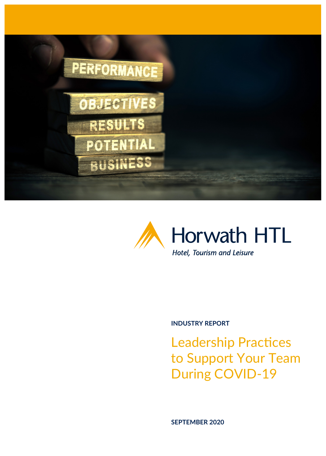



## **INDUSTRY REPORT**

Leadership Practices to Support Your Team During COVID-19

**SEPTEMBER 2020**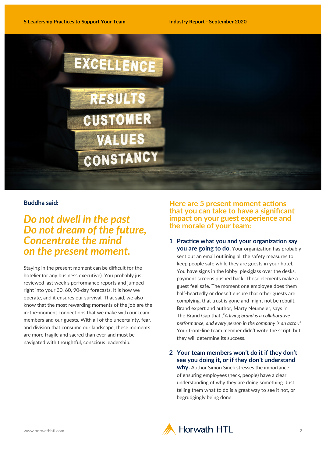

## **Buddha said:**

# *Do not dwell in the past Do not dream of the future, Concentrate the mind on the present moment.*

Staying in the present moment can be difficult for the hotelier (or any business executive). You probably just reviewed last week's performance reports and jumped right into your 30, 60, 90-day forecasts. It is how we operate, and it ensures our survival. That said, we also know that the most rewarding moments of the job are the in-the-moment connections that we make with our team members and our guests. With all of the uncertainty, fear, and division that consume our landscape, these moments are more fragile and sacred than ever and must be navigated with thoughtful, conscious leadership.

## **Here are 5 present moment actions that you can take to have a significant impact on your guest experience and the morale of your team:**

**1 Practice what you and your organization say you are going to do.** Your organization has probably sent out an email outlining all the safety measures to keep people safe while they are guests in your hotel. You have signs in the lobby, plexiglass over the desks, payment screens pushed back. Those elements make a guest feel safe. The moment one employee does them half-heartedly or doesn't ensure that other guests are complying, that trust is gone and might not be rebuilt. Brand expert and author, Marty Neumeier, says in The Brand Gap that ,"*A living brand is a collaborative performance, and every person in the company is an actor.*" Your front-line team member didn't write the script, but they will determine its success.

**2 Your team members won't do it if they don't see you doing it, or if they don't understand why.** Author Simon Sinek stresses the importance of ensuring employees (heck, people) have a clear understanding of why they are doing something. Just telling them what to do is a great way to see it not, or begrudgingly being done.

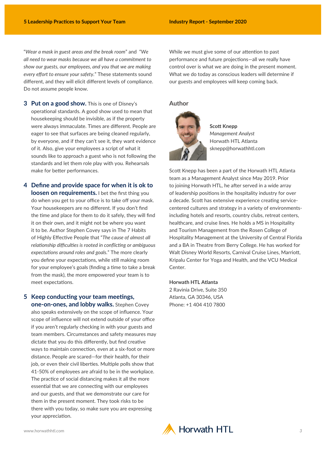"*Wear a mask in guest areas and the break room*" and "*We all need to wear masks because we all have a commitment to show our guests, our employees, and you that we are making every effort to ensure your safety.*" These statements sound different, and they will elicit different levels of compliance. Do not assume people know.

While we must give some of our attention to past performance and future projections—all we really have control over is what we are doing in the present moment. What we do today as conscious leaders will determine if our guests and employees will keep coming back.

## **3 Put on a good show.** This is one of Disney's operational standards. A good show used to mean that housekeeping should be invisible, as if the property were always immaculate. Times are different. People are eager to see that surfaces are being cleaned regularly, by everyone, and if they can't see it, they want evidence of it. Also, give your employees a script of what it sounds like to approach a guest who is not following the standards and let them role play with you. Rehearsals make for better performances.

**4 Define and provide space for when it is ok to loosen on requirements.** I bet the first thing you do when you get to your office is to take off your mask. Your housekeepers are no different. If you don't find the time and place for them to do it safely, they will find it on their own, and it might not be where you want it to be. Author Stephen Covey says in The 7 Habits of Highly Effective People that "*The cause of almost all relationship difficulties is rooted in conflicting or ambiguous expectations around roles and goals.*" The more clearly you define your expectations, while still making room for your employee's goals (finding a time to take a break from the mask), the more empowered your team is to meet expectations.

## **5 Keep conducting your team meetings, one-on-ones, and lobby walks.** Stephen Covey also speaks extensively on the scope of influence. Your scope of influence will not extend outside of your office if you aren't regularly checking in with your guests and team members. Circumstances and safety measures may dictate that you do this differently, but find creative ways to maintain connection, even at a six-foot or more distance. People are scared—for their health, for their job, or even their civil liberties. Multiple polls show that 41-50% of employees are afraid to be in the workplace. The practice of social distancing makes it all the more essential that we are connecting with our employees and our guests, and that we demonstrate our care for them in the present moment. They took risks to be there with you today, so make sure you are expressing your appreciation.

#### **Author**



**Scott Knepp**  *Management Analyst*  Horwath HTL Atlanta sknepp@horwathhtl.com

Scott Knepp has been a part of the Horwath HTL Atlanta team as a Management Analyst since May 2019. Prior to joining Horwath HTL, he after served in a wide array of leadership positions in the hospitality industry for over a decade. Scott has extensive experience creating servicecentered cultures and strategy in a variety of environmentsincluding hotels and resorts, country clubs, retreat centers, healthcare, and cruise lines. He holds a MS in Hospitality and Tourism Management from the Rosen College of Hospitality Management at the University of Central Florida and a BA in Theatre from Berry College. He has worked for Walt Disney World Resorts, Carnival Cruise Lines, Marriott, Kripalu Center for Yoga and Health, and the VCU Medical Center.

#### **Horwath HTL Atlanta**

2 Ravinia Drive, Suite 350 Atlanta, GA 30346, USA Phone: +1 404 410 7800